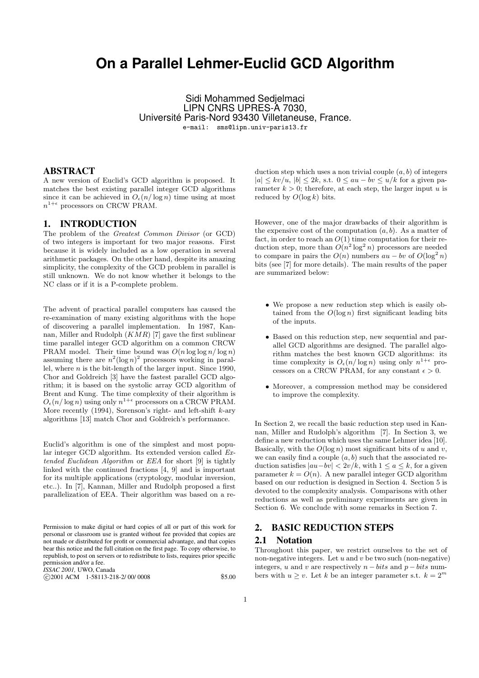# **On a Parallel Lehmer-Euclid GCD Algorithm**

Sidi Mohammed Sedjelmaci LIPN CNRS UPRES-A 7030, Université Paris-Nord 93430 Villetaneuse, France.

e-mail: sms@lipn.univ-paris13.fr

### ABSTRACT

A new version of Euclid's GCD algorithm is proposed. It matches the best existing parallel integer GCD algorithms since it can be achieved in  $O_{\epsilon}(n/\log n)$  time using at most  $n^{1+\epsilon}$  processors on CRCW PRAM.

### 1. INTRODUCTION

The problem of the Greatest Common Divisor (or GCD) of two integers is important for two major reasons. First because it is widely included as a low operation in several arithmetic packages. On the other hand, despite its amazing simplicity, the complexity of the GCD problem in parallel is still unknown. We do not know whether it belongs to the NC class or if it is a P-complete problem.

The advent of practical parallel computers has caused the re-examination of many existing algorithms with the hope of discovering a parallel implementation. In 1987, Kannan, Miller and Rudolph  $(KMR)$  [7] gave the first sublinear time parallel integer GCD algorithm on a common CRCW PRAM model. Their time bound was  $O(n \log \log n / \log n)$ assuming there are  $n^2(\log n)^2$  processors working in parallel, where  $n$  is the bit-length of the larger input. Since 1990, Chor and Goldreich [3] have the fastest parallel GCD algorithm; it is based on the systolic array GCD algorithm of Brent and Kung. The time complexity of their algorithm is  $O_{\epsilon}(n/\log n)$  using only  $n^{1+\epsilon}$  processors on a CRCW PRAM. More recently  $(1994)$ , Sorenson's right- and left-shift k-ary algorithms [13] match Chor and Goldreich's performance.

Euclid's algorithm is one of the simplest and most popular integer GCD algorithm. Its extended version called Extended Euclidean Algorithm or EEA for short [9] is tightly linked with the continued fractions [4, 9] and is important for its multiple applications (cryptology, modular inversion, etc..). In [7], Kannan, Miller and Rudolph proposed a first parallelization of EEA. Their algorithm was based on a re-

Permission to make digital or hard copies of all or part of this work for personal or classroom use is granted without fee provided that copies are not made or distributed for profit or commercial advantage, and that copies bear this notice and the full citation on the first page. To copy otherwise, to republish, to post on servers or to redistribute to lists, requires prior specific permission and/or a fee.

*ISSAC 2001,* UWO, Canada

c 2001 ACM 1-58113-218-2/ 00/ 0008 \$5.00

duction step which uses a non trivial couple  $(a, b)$  of integers  $|a| \leq kv/u, |b| \leq 2k$ , s.t.  $0 \leq au - bv \leq u/k$  for a given parameter  $k > 0$ ; therefore, at each step, the larger input u is reduced by  $O(\log k)$  bits.

However, one of the major drawbacks of their algorithm is the expensive cost of the computation  $(a, b)$ . As a matter of fact, in order to reach an  $O(1)$  time computation for their reduction step, more than  $O(n^2 \log^2 n)$  processors are needed to compare in pairs the  $O(n)$  numbers  $au - bv$  of  $O(\log^2 n)$ bits (see [7] for more details). The main results of the paper are summarized below:

- We propose a new reduction step which is easily obtained from the  $O(\log n)$  first significant leading bits of the inputs.
- Based on this reduction step, new sequential and parallel GCD algorithms are designed. The parallel algorithm matches the best known GCD algorithms: its time complexity is  $O_{\epsilon}(n/\log n)$  using only  $n^{1+\epsilon}$  processors on a CRCW PRAM, for any constant  $\epsilon > 0$ .
- Moreover, a compression method may be considered to improve the complexity.

In Section 2, we recall the basic reduction step used in Kannan, Miller and Rudolph's algorithm [7]. In Section 3, we define a new reduction which uses the same Lehmer idea [10]. Basically, with the  $O(\log n)$  most significant bits of u and v, we can easily find a couple  $(a, b)$  such that the associated reduction satisfies  $|au-bv| < 2v/k$ , with  $1 \le a \le k$ , for a given parameter  $k = O(n)$ . A new parallel integer GCD algorithm based on our reduction is designed in Section 4. Section 5 is devoted to the complexity analysis. Comparisons with other reductions as well as preliminary experiments are given in Section 6. We conclude with some remarks in Section 7.

# 2. BASIC REDUCTION STEPS

#### 2.1 Notation

Throughout this paper, we restrict ourselves to the set of non-negative integers. Let  $u$  and  $v$  be two such (non-negative) integers, u and v are respectively  $n - bits$  and  $p - bits$  numbers with  $u \geq v$ . Let k be an integer parameter s.t.  $k = 2^m$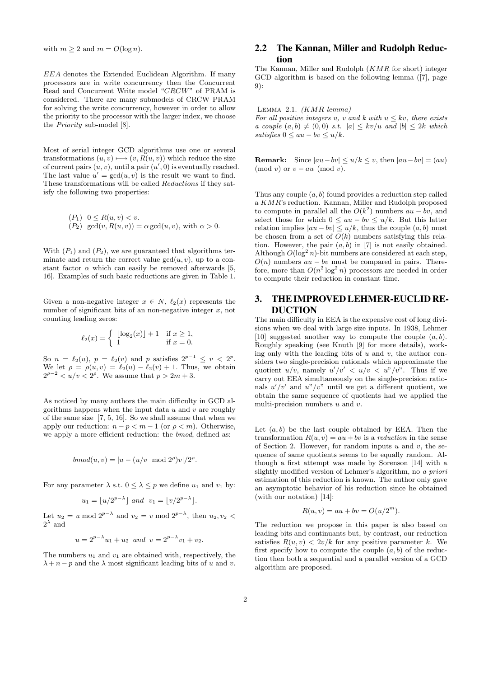with  $m \geq 2$  and  $m = O(\log n)$ .

EEA denotes the Extended Euclidean Algorithm. If many processors are in write concurrency then the Concurrent Read and Concurrent Write model "CRCW" of PRAM is considered. There are many submodels of CRCW PRAM for solving the write concurrency, however in order to allow the priority to the processor with the larger index, we choose the Priority sub-model [8].

Most of serial integer GCD algorithms use one or several transformations  $(u, v) \rightarrow (v, R(u, v))$  which reduce the size of current pairs  $(u, v)$ , until a pair  $(u', 0)$  is eventually reached. The last value  $u' = \gcd(u, v)$  is the result we want to find. These transformations will be called Reductions if they satisfy the following two properties:

$$
(P_1) \quad 0 \le R(u, v) < v.
$$
\n
$$
(P_2) \quad \gcd(v, R(u, v)) = \alpha \gcd(u, v), \text{ with } \alpha > 0.
$$

With  $(P_1)$  and  $(P_2)$ , we are guaranteed that algorithms terminate and return the correct value  $gcd(u, v)$ , up to a constant factor  $\alpha$  which can easily be removed afterwards [5, 16]. Examples of such basic reductions are given in Table 1.

Given a non-negative integer  $x \in N$ ,  $\ell_2(x)$  represents the number of significant bits of an non-negative integer  $x$ , not counting leading zeros:

$$
\ell_2(x) = \begin{cases} \lfloor \log_2(x) \rfloor + 1 & \text{if } x \ge 1, \\ 1 & \text{if } x = 0. \end{cases}
$$

So  $n = \ell_2(u)$ ,  $p = \ell_2(v)$  and p satisfies  $2^{p-1} \le v < 2^p$ . We let  $\rho = \rho(u, v) = \ell_2(u) - \ell_2(v) + 1$ . Thus, we obtain  $2^{\rho-2} < u/v < 2^{\rho}$ . We assume that  $p > 2m + 3$ .

As noticed by many authors the main difficulty in GCD algorithms happens when the input data  $u$  and  $v$  are roughly of the same size [7, 5, 16]. So we shall assume that when we apply our reduction:  $n - p < m - 1$  (or  $\rho < m$ ). Otherwise, we apply a more efficient reduction: the bmod, defined as:

$$
bmod(u, v) = |u - (u/v \mod 2^{\rho})v|/2^{\rho}.
$$

For any parameter  $\lambda$  s.t.  $0 \leq \lambda \leq p$  we define  $u_1$  and  $v_1$  by:

$$
u_1 = \lfloor u/2^{p-\lambda} \rfloor \text{ and } v_1 = \lfloor v/2^{p-\lambda} \rfloor.
$$

Let  $u_2 = u \mod 2^{p-\lambda}$  and  $v_2 = v \mod 2^{p-\lambda}$ , then  $u_2, v_2 <$  $2^{\lambda}$  and

$$
u = 2^{p-\lambda}u_1 + u_2 \text{ and } v = 2^{p-\lambda}v_1 + v_2.
$$

The numbers  $u_1$  and  $v_1$  are obtained with, respectively, the  $\lambda + n - p$  and the  $\lambda$  most significant leading bits of u and v.

# 2.2 The Kannan, Miller and Rudolph Reduction

The Kannan, Miller and Rudolph (KMR for short) integer GCD algorithm is based on the following lemma  $([7],$  page 9):

LEMMA 2.1.  $(KMR \; lemma)$ 

For all positive integers u, v and k with  $u \leq kv$ , there exists a couple  $(a, b) \neq (0, 0)$  s.t.  $|a| \leq kv/u$  and  $|b| \leq 2k$  which satisfies  $0 \le au - bv \le u/k$ .

**Remark:** Since  $|au-bv| \le u/k \le v$ , then  $|au-bv| = (au)$  $\pmod{v}$  or  $v - au \pmod{v}$ .

Thus any couple  $(a, b)$  found provides a reduction step called a KMR's reduction. Kannan, Miller and Rudolph proposed to compute in parallel all the  $O(k^2)$  numbers  $au - bv$ , and select those for which  $0 \le au - bv \le u/k$ . But this latter relation implies  $|au - bv| \le u/k$ , thus the couple  $(a, b)$  must be chosen from a set of  $O(k)$  numbers satisfying this relation. However, the pair  $(a, b)$  in [7] is not easily obtained. Although  $O(\log^2 n)$ -bit numbers are considered at each step,  $O(n)$  numbers  $au - bv$  must be compared in pairs. Therefore, more than  $O(n^2 \log^2 n)$  processors are needed in order to compute their reduction in constant time.

# 3. THE IMPROVED LEHMER-EUCLID RE-DUCTION

The main difficulty in EEA is the expensive cost of long divisions when we deal with large size inputs. In 1938, Lehmer [10] suggested another way to compute the couple  $(a, b)$ . Roughly speaking (see Knuth [9] for more details), working only with the leading bits of  $u$  and  $v$ , the author considers two single-precision rationals which approximate the quotient  $u/v$ , namely  $u'/v' < u/v < u''/v''$ . Thus if we carry out EEA simultaneously on the single-precision rationals  $u'/v'$  and  $u''/v''$  until we get a different quotient, we obtain the same sequence of quotients had we applied the multi-precision numbers  $u$  and  $v$ .

Let  $(a, b)$  be the last couple obtained by EEA. Then the transformation  $R(u, v) = au + bv$  is a reduction in the sense of Section 2. However, for random inputs  $u$  and  $v$ , the sequence of same quotients seems to be equally random. Although a first attempt was made by Sorenson [14] with a slightly modified version of Lehmer's algorithm, no a priori estimation of this reduction is known. The author only gave an asymptotic behavior of his reduction since he obtained (with our notation) [14]:

$$
R(u, v) = au + bv = O(u/2m).
$$

The reduction we propose in this paper is also based on leading bits and continuants but, by contrast, our reduction satisfies  $R(u, v) < 2v/k$  for any positive parameter k. We first specify how to compute the couple  $(a, b)$  of the reduction then both a sequential and a parallel version of a GCD algorithm are proposed.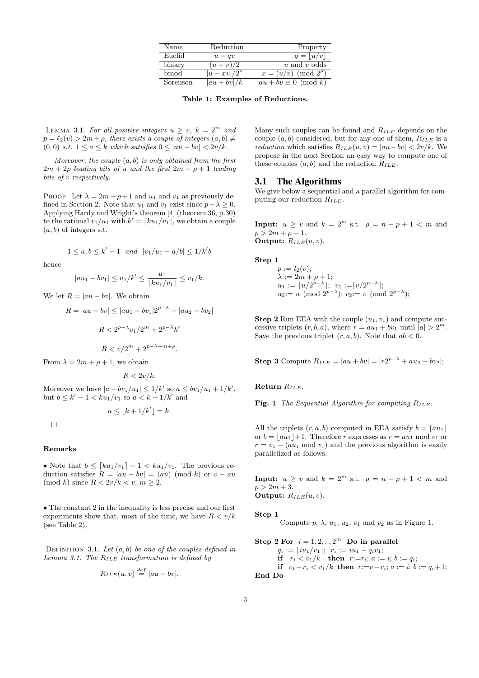| Name     | Reduction         | Property                    |
|----------|-------------------|-----------------------------|
| Euclid   | $u - qv$          | $q= u/v $                   |
| binary   | $(u - v)/2$       | $u$ and $v$ odds            |
| bmod     | $ u-xv /2^{\rho}$ | $x = (u/v) \pmod{2^{\rho}}$ |
| Sorenson | $ au + bv /k$     | $au + bv \equiv 0 \pmod{k}$ |

Table 1: Examples of Reductions.

LEMMA 3.1. For all positive integers  $u \ge v$ ,  $k = 2^m$  and  $p = \ell_2(v) > 2m + \rho$ , there exists a couple of integers  $(a, b) \neq$ (0,0) s.t.  $1 \leq a \leq k$  which satisfies  $0 \leq |au - bv| \leq 2v/k$ .

Moreover, the couple  $(a, b)$  is only obtained from the first  $2m + 2\rho$  leading bits of u and the first  $2m + \rho + 1$  leading bits of v respectively.

PROOF. Let  $\lambda = 2m + \rho + 1$  and  $u_1$  and  $v_1$  as previously defined in Section 2. Note that  $u_1$  and  $v_1$  exist since  $p - \lambda \geq 0$ . Applying Hardy and Wright's theorem [4] (theorem 36, p.30) to the rational  $v_1/u_1$  with  $k' = \lfloor ku_1/v_1 \rfloor$ , we obtain a couple  $(a, b)$  of integers s.t.

$$
1 \le a, b \le k' - 1
$$
 and  $|v_1/u_1 - a/b| \le 1/k'b$ 

hence

$$
|au_1 - bv_1| \le u_1/k' \le \frac{u_1}{\lceil ku_1/v_1 \rceil} \le v_1/k.
$$

We let  $R = |au - bv|$ . We obtain

$$
R = |au - bv| \le |au_1 - bv_1|2^{p-\lambda} + |au_2 - bv_2|
$$

 $R < 2^{p-\lambda}v_1/2^m + 2^{p-\lambda}k'$ 

$$
R < v/2^m + 2^{p - \lambda + m + \rho}.
$$

From  $\lambda = 2m + \rho + 1$ , we obtain

$$
R < 2v/k.
$$

Moreover we have  $|a - bv_1/u_1| \leq 1/k'$  so  $a \leq bv_1/u_1 + 1/k'$ , but  $b \leq k' - 1 < k u_1 / v_1$  so  $a < k + 1/k'$  and

 $a \leq |k + 1/k'| = k.$ 

 $\Box$ 

#### Remarks

• Note that  $b \leq \lceil k u_1/v_1 \rceil - 1 < k u_1/v_1$ . The previous reduction satisfies  $R = |au - bv| = (au) \pmod{k}$  or  $v - au$  $\pmod{k}$  since  $R < 2v/k < v$ ;  $m \geq 2$ .

• The constant 2 in the inequality is less precise and our first experiments show that, most of the time, we have  $R \lt v/k$ (see Table 2).

DEFINITION 3.1. Let  $(a, b)$  be one of the couples defined in Lemma 3.1. The  $R_{ILE}$  transformation is defined by

$$
R_{ILE}(u, v) \stackrel{def}{=} |au - bv|.
$$

Many such couples can be found and  $R_{ILE}$  depends on the couple  $(a, b)$  considered, but for any one of them,  $R_{ILE}$  is a *reduction* which satisfies  $R_{ILE}(u, v) = |au - bv| < 2v/k$ . We propose in the next Section an easy way to compute one of these couples  $(a, b)$  and the reduction  $R_{ILE}$ .

### 3.1 The Algorithms

We give below a sequential and a parallel algorithm for computing our reduction  $R_{ILE}$ .

**Input:**  $u \geq v$  and  $k = 2^m$  s.t.  $\rho = n - p + 1 < m$  and  $p > 2m + \rho + 1.$ Output:  $R_{ILE}(u, v)$ .

Step 1

$$
p := l_2(v);
$$
  
\n
$$
\lambda := 2m + \rho + 1;
$$
  
\n
$$
u_1 := \lfloor u/2^{p-\lambda} \rfloor; \ v_1 := \lfloor v/2^{p-\lambda} \rfloor;
$$
  
\n
$$
u_2 := u \pmod{2^{p-\lambda}}; \ v_2 := v \pmod{2^{p-\lambda}};
$$

**Step 2** Run EEA with the couple  $(u_1, v_1)$  and compute successive triplets  $(r, b, a)$ , where  $r = au_1 + bv_1$  until  $|a| > 2^m$ . Save the previous triplet  $(r, a, b)$ . Note that  $ab < 0$ .

**Step 3** Compute  $R_{ILE} = |au + bv| = |r2^{p-\lambda} + au_2 + bv_2|;$ 

Return  $R_{ILE}$ .

Fig. 1 The Sequential Algorithm for computing  $R_{ILE}$ .

All the triplets  $(r, a, b)$  computed in EEA satisfy  $b = |au_1|$ or  $b = |au_1|+1$ . Therefore r expresses as  $r = au_1 \mod v_1$  or  $r = v_1 - (au_1 \mod v_1)$  and the previous algorithm is easily parallelized as follows.

**Input:**  $u \geq v$  and  $k = 2^m$  s.t.  $\rho = n - p + 1 < m$  and  $p > 2m + 3.$ Output:  $R_{ILE}(u, v)$ .

#### Step 1

Compute  $p$ ,  $\lambda$ ,  $u_1$ ,  $u_2$ ,  $v_1$  and  $v_2$  as in Figure 1.

Step 2 For  $i = 1, 2, ..., 2^m$  Do in parallel  $q_i := |iu_1/v_1|; \; r_i := iu_1 - q_i v_1;$ if  $r_i < v_1/k$  then  $r := r_i; a := i; b := q_i;$ if  $v_1-r_i < v_1/k$  then  $r:=v-r_i; a := i; b := q_i+1;$ End Do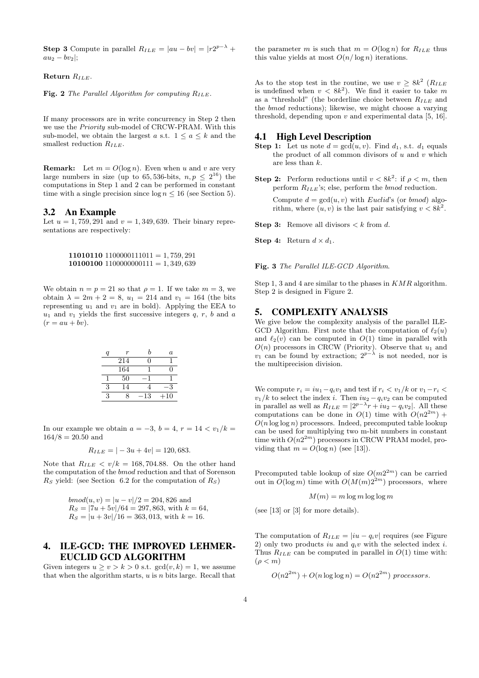**Step 3** Compute in parallel  $R_{ILE} = |au - bv| = |r2^{p-\lambda} +$  $au_2 - bv_2$ |;

Return  $R_{ILE}$ .

Fig. 2 The Parallel Algorithm for computing  $R_{ILE}$ .

If many processors are in write concurrency in Step 2 then we use the Priority sub-model of CRCW-PRAM. With this sub-model, we obtain the largest a s.t.  $1 \le a \le k$  and the smallest reduction  $R_{ILE}$ .

**Remark:** Let  $m = O(\log n)$ . Even when u and v are very large numbers in size (up to 65, 536-bits,  $n, p \leq 2^{16}$ ) the computations in Step 1 and 2 can be performed in constant time with a single precision since  $log n \le 16$  (see Section 5).

#### 3.2 An Example

Let  $u = 1,759,291$  and  $v = 1,349,639$ . Their binary representations are respectively:

> $11010110$   $1100000111011 = 1,759,291$ 10100100 1100000000111 = 1,349,639

We obtain  $n = p = 21$  so that  $\rho = 1$ . If we take  $m = 3$ , we obtain  $\lambda = 2m + 2 = 8$ ,  $u_1 = 214$  and  $v_1 = 164$  (the bits representing  $u_1$  and  $v_1$  are in bold). Applying the EEA to  $u_1$  and  $v_1$  yields the first successive integers  $q, r, b$  and  $a$  $(r = au + bv).$ 

|   |     | h  | a. |
|---|-----|----|----|
|   | 214 | '' |    |
|   | 164 |    | 0  |
|   | 50  |    |    |
| 3 | 14  |    | 3  |
| 3 | Q   | 13 | 10 |

In our example we obtain  $a = -3$ ,  $b = 4$ ,  $r = 14 < v_1/k =$  $164/8 = 20.50$  and

$$
R_{ILE} = |-3u + 4v| = 120,683.
$$

Note that  $R_{ILE} < v/k = 168, 704.88$ . On the other hand the computation of the bmod reduction and that of Sorenson  $R<sub>S</sub>$  yield: (see Section 6.2 for the computation of  $R<sub>S</sub>$ )

*bmod*(
$$
u, v
$$
) =  $|u - v|/2 = 204,826$  and  
\n $R_S = |7u + 5v|/64 = 297,863$ , with  $k = 64$ ,  
\n $R_S = |u + 3v|/16 = 363,013$ , with  $k = 16$ .

# 4. ILE-GCD: THE IMPROVED LEHMER-EUCLID GCD ALGORITHM

Given integers  $u \ge v > k > 0$  s.t.  $gcd(v, k) = 1$ , we assume that when the algorithm starts,  $u$  is  $n$  bits large. Recall that the parameter m is such that  $m = O(\log n)$  for  $R_{ILE}$  thus this value yields at most  $O(n/\log n)$  iterations.

As to the stop test in the routine, we use  $v \geq 8k^2$  ( $R_{ILE}$ is undefined when  $v < 8k^2$ ). We find it easier to take m as a "threshold" (the borderline choice between  $R_{ILE}$  and the bmod reductions); likewise, we might choose a varying threshold, depending upon  $v$  and experimental data [5, 16].

### 4.1 High Level Description

- **Step 1:** Let us note  $d = \gcd(u, v)$ . Find  $d_1$ , s.t.  $d_1$  equals the product of all common divisors of  $u$  and  $v$  which are less than k.
- **Step 2:** Perform reductions until  $v < 8k^2$ : if  $\rho < m$ , then perform  $R_{ILE}$ 's; else, perform the *bmod* reduction.

Compute  $d = \gcd(u, v)$  with Euclid's (or bmod) algorithm, where  $(u, v)$  is the last pair satisfying  $v < 8k^2$ .

**Step 3:** Remove all divisors  $\lt k$  from d.

**Step 4:** Return  $d \times d_1$ .

Fig. 3 The Parallel ILE-GCD Algorithm.

Step 1, 3 and 4 are similar to the phases in KMR algorithm. Step 2 is designed in Figure 2.

# 5. COMPLEXITY ANALYSIS

We give below the complexity analysis of the parallel ILE-GCD Algorithm. First note that the computation of  $\ell_2(u)$ and  $\ell_2(v)$  can be computed in  $O(1)$  time in parallel with  $O(n)$  processors in CRCW (Priority). Observe that  $u_1$  and  $v_1$  can be found by extraction;  $2^{p-\lambda}$  is not needed, nor is the multiprecision division.

We compute  $r_i = iu_1 - q_iv_1$  and test if  $r_i < v_1/k$  or  $v_1 - r_i <$  $v_1/k$  to select the index i. Then  $iu_2 - q_i v_2$  can be computed in parallel as well as  $R_{ILE} = |2^{p-\lambda}r + iu_2 - q_i v_2|$ . All these computations can be done in  $O(1)$  time with  $O(n2^{2m})$  +  $O(n \log \log n)$  processors. Indeed, precomputed table lookup can be used for multiplying two m-bit numbers in constant time with  $O(n2^{2m})$  processors in CRCW PRAM model, providing that  $m = O(\log n)$  (see [13]).

Precomputed table lookup of size  $O(m2^{2m})$  can be carried out in  $O(\log m)$  time with  $O(M(m)2^{2m})$  processors, where

$$
M(m) = m \log m \log \log m
$$

(see [13] or [3] for more details).

The computation of  $R_{ILE} = |iu - q_i v|$  requires (see Figure 2) only two products iu and  $q_i v$  with the selected index i. Thus  $R_{ILE}$  can be computed in parallel in  $O(1)$  time with:  $(\rho < m)$ 

$$
O(n2^{2m}) + O(n \log \log n) = O(n2^{2m})
$$
 *processors.*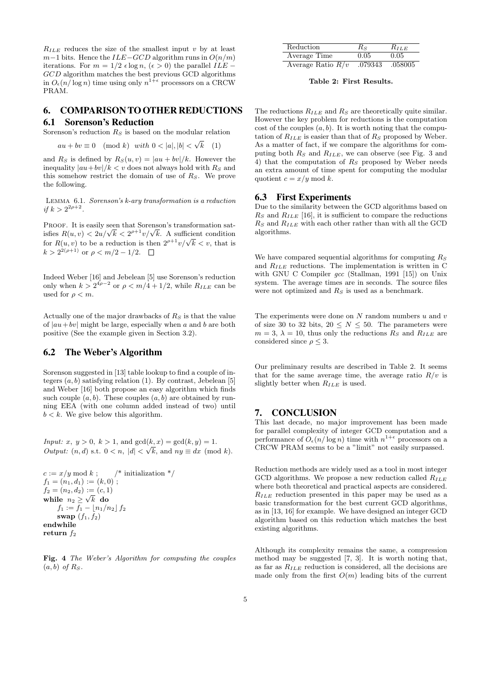$R_{ILE}$  reduces the size of the smallest input v by at least  $m-1$  bits. Hence the  $ILE-GCD$  algorithm runs in  $O(n/m)$ iterations. For  $m = 1/2 \epsilon \log n$ ,  $(\epsilon > 0)$  the parallel ILE – GCD algorithm matches the best previous GCD algorithms in  $O_\epsilon(n/\log n)$  time using only  $n^{1+\epsilon}$  processors on a CRCW PRAM.

# 6. COMPARISON TO OTHER REDUCTIONS 6.1 Sorenson's Reduction

Sorenson's reduction  $R_S$  is based on the modular relation

$$
au + bv \equiv 0 \pmod{k} \text{ with } 0 < |a|, |b| < \sqrt{k} \quad (1)
$$

and  $R_S$  is defined by  $R_S(u, v) = |au + bv|/k$ . However the inequality  $|au+bv|/k < v$  does not always hold with  $R_S$  and this somehow restrict the domain of use of  $R<sub>S</sub>$ . We prove the following.

Lemma 6.1. Sorenson's k-ary transformation is a reduction if  $k > 2^{2\rho+2}$ .

PROOF. It is easily seen that Sorenson's transformation sat-PROOF. It is easily seen that Sorenson's transformation satisfies  $R(u, v) < 2u/\sqrt{k} < 2^{\rho+1}v/\sqrt{k}$ . A sufficient condition for  $R(u, v) \leq 2u/\sqrt{\kappa} \leq 2v/\sqrt{\kappa}$ . A summer condition<br>for  $R(u, v)$  to be a reduction is then  $2^{\rho+1}v/\sqrt{\kappa} < v$ , that is  $k > 2^{2(\rho+1)}$  or  $\rho < m/2 - 1/2$ .

Indeed Weber [16] and Jebelean [5] use Sorenson's reduction only when  $k > 2^{4\rho - 2}$  or  $\rho < m/4 + 1/2$ , while  $R_{ILE}$  can be used for  $\rho < m$ .

Actually one of the major drawbacks of  $R<sub>S</sub>$  is that the value of  $|au+bv|$  might be large, especially when a and b are both positive (See the example given in Section 3.2).

# 6.2 The Weber's Algorithm

Sorenson suggested in [13] table lookup to find a couple of integers  $(a, b)$  satisfying relation (1). By contrast, Jebelean [5] and Weber [16] both propose an easy algorithm which finds such couple  $(a, b)$ . These couples  $(a, b)$  are obtained by running EEA (with one column added instead of two) until  $b < k$ . We give below this algorithm.

*Input:*  $x, y > 0, k > 1$ , and  $gcd(k, x) = gcd(k, y) = 1$ . Output:  $(n, d)$  s.t.  $0 < n$ ,  $|d| < \sqrt{k}$ , and  $ny \equiv dx \pmod{k}$ .

$$
c := x/y \mod k \; ; \qquad \text{``initialization */}
$$
\n
$$
f_1 = (n_1, d_1) := (k, 0) \; ;
$$
\n
$$
f_2 = (n_2, d_2) := (c, 1)
$$
\n
$$
\text{while } n_2 \ge \sqrt{k} \; \text{do}
$$
\n
$$
f_1 := f_1 - \lfloor n_1/n_2 \rfloor f_2
$$
\n
$$
\text{swap } (f_1, f_2)
$$
\n
$$
\text{endwhile}
$$
\n
$$
\text{return } f_2
$$

Fig. 4 The Weber's Algorithm for computing the couples  $(a, b)$  of  $R<sub>S</sub>$ .

| Reduction           | $R_S$   | $R_{ILE}$ |
|---------------------|---------|-----------|
| Average Time        | 0.05    | 0.05      |
| Average Ratio $R/v$ | .079343 | .058005   |

Table 2: First Results.

The reductions  $R_{ILE}$  and  $R_S$  are theoretically quite similar. However the key problem for reductions is the computation cost of the couples  $(a, b)$ . It is worth noting that the computation of  $R_{ILE}$  is easier than that of  $R_S$  proposed by Weber. As a matter of fact, if we compare the algorithms for computing both  $R_S$  and  $R_{ILE}$ , we can observe (see Fig. 3 and 4) that the computation of  $R<sub>S</sub>$  proposed by Weber needs an extra amount of time spent for computing the modular quotient  $c = x/y \mod k$ .

### 6.3 First Experiments

Due to the similarity between the GCD algorithms based on  $R_S$  and  $R_{ILE}$  [16], it is sufficient to compare the reductions  $R_S$  and  $R_{ILE}$  with each other rather than with all the GCD algorithms.

We have compared sequential algorithms for computing  $R<sub>S</sub>$ and  $R_{ILE}$  reductions. The implementation is written in C with GNU C Compiler gcc (Stallman, 1991 [15]) on Unix system. The average times are in seconds. The source files were not optimized and  $R_S$  is used as a benchmark.

The experiments were done on  $N$  random numbers  $u$  and  $v$ of size 30 to 32 bits,  $20 \leq N \leq 50$ . The parameters were  $m = 3, \lambda = 10$ , thus only the reductions  $R_S$  and  $R_{ILE}$  are considered since  $\rho \leq 3$ .

Our preliminary results are described in Table 2. It seems that for the same average time, the average ratio  $R/v$  is slightly better when  $R_{ILE}$  is used.

### 7. CONCLUSION

This last decade, no major improvement has been made for parallel complexity of integer GCD computation and a performance of  $O_{\epsilon}(n/\log n)$  time with  $n^{1+\epsilon}$  processors on a CRCW PRAM seems to be a "limit" not easily surpassed.

Reduction methods are widely used as a tool in most integer GCD algorithms. We propose a new reduction called  $R_{ILE}$ where both theoretical and practical aspects are considered.  $R_{ILE}$  reduction presented in this paper may be used as a basic transformation for the best current GCD algorithms, as in [13, 16] for example. We have designed an integer GCD algorithm based on this reduction which matches the best existing algorithms.

Although its complexity remains the same, a compression method may be suggested [7, 3]. It is worth noting that, as far as  $R_{ILE}$  reduction is considered, all the decisions are made only from the first  $O(m)$  leading bits of the current